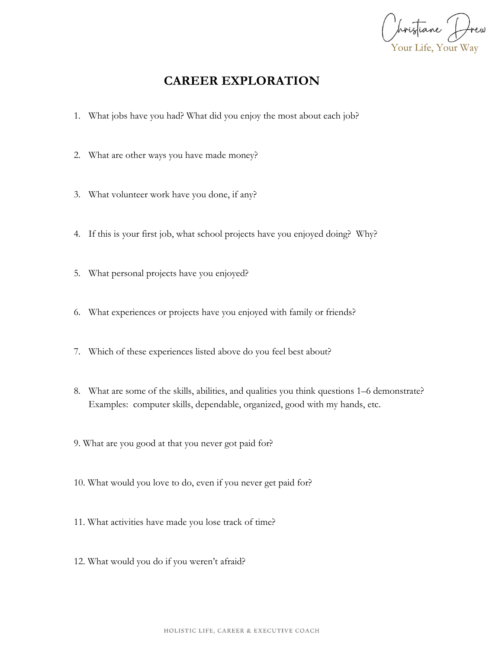Your Life, Your Way

## **CAREER EXPLORATION**

- 1. What jobs have you had? What did you enjoy the most about each job?
- 2. What are other ways you have made money?
- 3. What volunteer work have you done, if any?
- 4. If this is your first job, what school projects have you enjoyed doing? Why?
- 5. What personal projects have you enjoyed?
- 6. What experiences or projects have you enjoyed with family or friends?
- 7. Which of these experiences listed above do you feel best about?
- 8. What are some of the skills, abilities, and qualities you think questions 1–6 demonstrate? Examples: computer skills, dependable, organized, good with my hands, etc.
- 9. What are you good at that you never got paid for?
- 10. What would you love to do, even if you never get paid for?
- 11. What activities have made you lose track of time?
- 12. What would you do if you weren't afraid?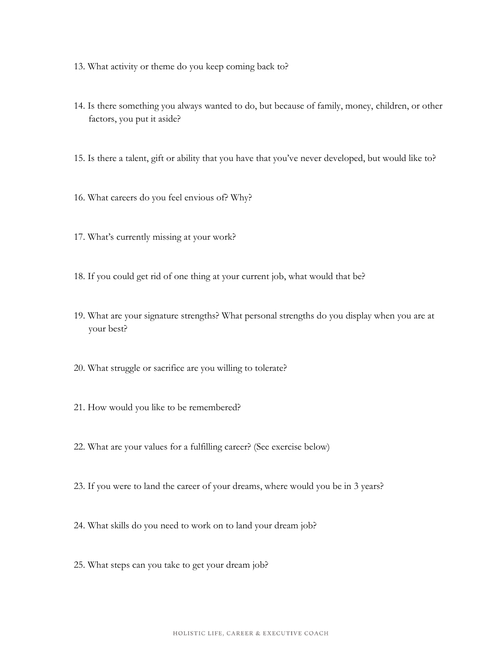- 13. What activity or theme do you keep coming back to?
- 14. Is there something you always wanted to do, but because of family, money, children, or other factors, you put it aside?
- 15. Is there a talent, gift or ability that you have that you've never developed, but would like to?
- 16. What careers do you feel envious of? Why?
- 17. What's currently missing at your work?
- 18. If you could get rid of one thing at your current job, what would that be?
- 19. What are your signature strengths? What personal strengths do you display when you are at your best?
- 20. What struggle or sacrifice are you willing to tolerate?
- 21. How would you like to be remembered?
- 22. What are your values for a fulfilling career? (See exercise below)
- 23. If you were to land the career of your dreams, where would you be in 3 years?
- 24. What skills do you need to work on to land your dream job?
- 25. What steps can you take to get your dream job?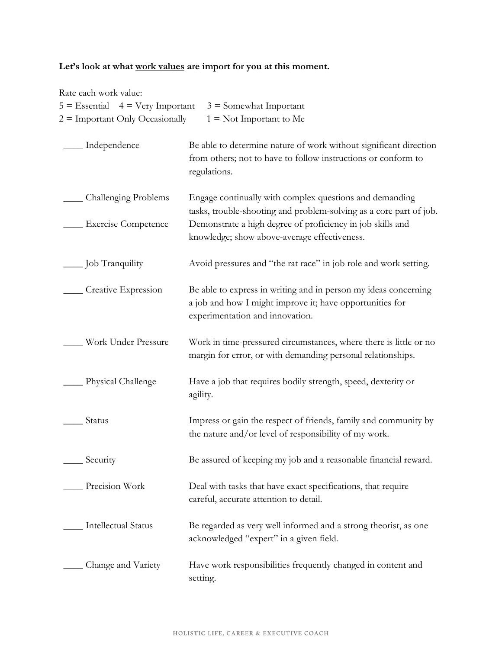## **Let's look at what work values are import for you at this moment.**

| Rate each work value:                |                                                                                                                                                                |
|--------------------------------------|----------------------------------------------------------------------------------------------------------------------------------------------------------------|
| $5 =$ Essential $4 =$ Very Important | $3 =$ Somewhat Important                                                                                                                                       |
| $2 =$ Important Only Occasionally    | $1 = Not Important to Me$                                                                                                                                      |
| Independence                         | Be able to determine nature of work without significant direction<br>from others; not to have to follow instructions or conform to<br>regulations.             |
| Challenging Problems                 | Engage continually with complex questions and demanding<br>tasks, trouble-shooting and problem-solving as a core part of job.                                  |
| <b>Exercise Competence</b>           | Demonstrate a high degree of proficiency in job skills and<br>knowledge; show above-average effectiveness.                                                     |
| Job Tranquility                      | Avoid pressures and "the rat race" in job role and work setting.                                                                                               |
| Creative Expression                  | Be able to express in writing and in person my ideas concerning<br>a job and how I might improve it; have opportunities for<br>experimentation and innovation. |
| Work Under Pressure                  | Work in time-pressured circumstances, where there is little or no<br>margin for error, or with demanding personal relationships.                               |
| Physical Challenge                   | Have a job that requires bodily strength, speed, dexterity or<br>agility.                                                                                      |
| Status                               | Impress or gain the respect of friends, family and community by<br>the nature and/or level of responsibility of my work.                                       |
| Security                             | Be assured of keeping my job and a reasonable financial reward.                                                                                                |
| Precision Work                       | Deal with tasks that have exact specifications, that require<br>careful, accurate attention to detail.                                                         |
| <b>Intellectual Status</b>           | Be regarded as very well informed and a strong theorist, as one<br>acknowledged "expert" in a given field.                                                     |
| Change and Variety                   | Have work responsibilities frequently changed in content and<br>setting.                                                                                       |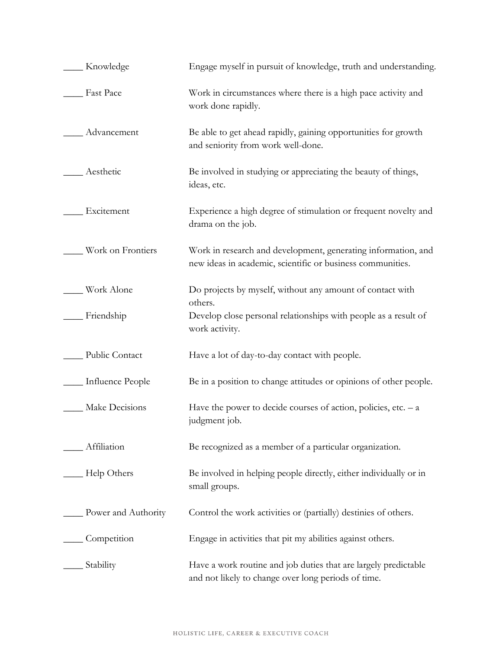| Knowledge           | Engage myself in pursuit of knowledge, truth and understanding.                                                             |
|---------------------|-----------------------------------------------------------------------------------------------------------------------------|
| Fast Pace           | Work in circumstances where there is a high pace activity and<br>work done rapidly.                                         |
| Advancement         | Be able to get ahead rapidly, gaining opportunities for growth<br>and seniority from work well-done.                        |
| Aesthetic           | Be involved in studying or appreciating the beauty of things,<br>ideas, etc.                                                |
| Excitement          | Experience a high degree of stimulation or frequent novelty and<br>drama on the job.                                        |
| Work on Frontiers   | Work in research and development, generating information, and<br>new ideas in academic, scientific or business communities. |
| Work Alone          | Do projects by myself, without any amount of contact with<br>others.                                                        |
| Friendship          | Develop close personal relationships with people as a result of<br>work activity.                                           |
| Public Contact      | Have a lot of day-to-day contact with people.                                                                               |
| Influence People    | Be in a position to change attitudes or opinions of other people.                                                           |
| Make Decisions      | Have the power to decide courses of action, policies, etc. $- a$<br>judgment job.                                           |
| Affiliation         | Be recognized as a member of a particular organization.                                                                     |
| Help Others         | Be involved in helping people directly, either individually or in<br>small groups.                                          |
| Power and Authority | Control the work activities or (partially) destinies of others.                                                             |
| Competition         | Engage in activities that pit my abilities against others.                                                                  |
| Stability           | Have a work routine and job duties that are largely predictable<br>and not likely to change over long periods of time.      |